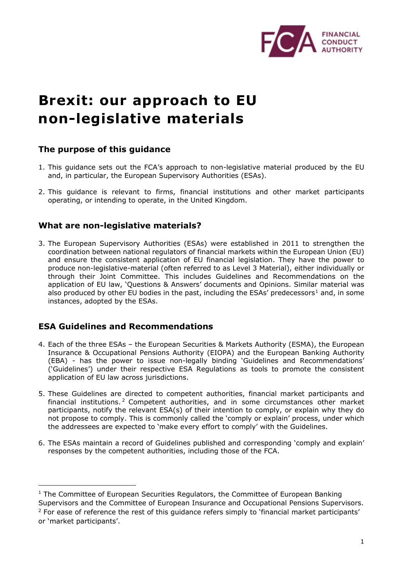

# **Brexit: our approach to EU non-legislative materials**

## **The purpose of this guidance**

- 1. This guidance sets out the FCA's approach to non-legislative material produced by the EU and, in particular, the European Supervisory Authorities (ESAs).
- 2. This guidance is relevant to firms, financial institutions and other market participants operating, or intending to operate, in the United Kingdom.

## **What are non-legislative materials?**

3. The European Supervisory Authorities (ESAs) were established in 2011 to strengthen the coordination between national regulators of financial markets within the European Union (EU) and ensure the consistent application of EU financial legislation. They have the power to produce non-legislative-material (often referred to as Level 3 Material), either individually or through their Joint Committee. This includes Guidelines and Recommendations on the application of EU law, 'Questions & Answers' documents and Opinions. Similar material was also produced by other EU bodies in the past, including the ESAs' predecessors<sup>[1](#page-0-0)</sup> and, in some instances, adopted by the ESAs.

# **ESA Guidelines and Recommendations**

-

- 4. Each of the three ESAs the European Securities & Markets Authority (ESMA), the European Insurance & Occupational Pensions Authority (EIOPA) and the European Banking Authority (EBA) - has the power to issue non-legally binding 'Guidelines and Recommendations' ('Guidelines') under their respective ESA Regulations as tools to promote the consistent application of EU law across jurisdictions.
- 5. These Guidelines are directed to competent authorities, financial market participants and financial institutions. [2](#page-0-1) Competent authorities, and in some circumstances other market participants, notify the relevant ESA(s) of their intention to comply, or explain why they do not propose to comply. This is commonly called the 'comply or explain' process, under which the addressees are expected to 'make every effort to comply' with the Guidelines.
- 6. The ESAs maintain a record of Guidelines published and corresponding 'comply and explain' responses by the competent authorities, including those of the FCA.

<span id="page-0-0"></span><sup>&</sup>lt;sup>1</sup> The Committee of European Securities Regulators, the Committee of European Banking Supervisors and the Committee of European Insurance and Occupational Pensions Supervisors.

<span id="page-0-1"></span> $2$  For ease of reference the rest of this quidance refers simply to 'financial market participants' or 'market participants'.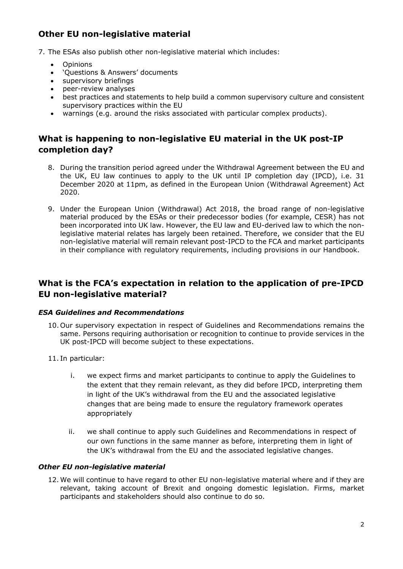# **Other EU non-legislative material**

7. The ESAs also publish other non-legislative material which includes:

- **Opinions**
- 'Questions & Answers' documents
- supervisory briefings
- peer-review analyses
- best practices and statements to help build a common supervisory culture and consistent supervisory practices within the EU
- warnings (e.g. around the risks associated with particular complex products).

# **What is happening to non-legislative EU material in the UK post-IP completion day?**

- 8. During the transition period agreed under the Withdrawal Agreement between the EU and the UK, EU law continues to apply to the UK until IP completion day (IPCD), i.e. 31 December 2020 at 11pm, as defined in the European Union (Withdrawal Agreement) Act 2020.
- 9. Under the European Union (Withdrawal) Act 2018, the broad range of non-legislative material produced by the ESAs or their predecessor bodies (for example, CESR) has not been incorporated into UK law. However, the EU law and EU-derived law to which the nonlegislative material relates has largely been retained. Therefore, we consider that the EU non-legislative material will remain relevant post-IPCD to the FCA and market participants in their compliance with regulatory requirements, including provisions in our Handbook.

# **What is the FCA's expectation in relation to the application of pre-IPCD EU non-legislative material?**

#### *ESA Guidelines and Recommendations*

- 10. Our supervisory expectation in respect of Guidelines and Recommendations remains the same. Persons requiring authorisation or recognition to continue to provide services in the UK post-IPCD will become subject to these expectations.
- 11. In particular:
	- i. we expect firms and market participants to continue to apply the Guidelines to the extent that they remain relevant, as they did before IPCD, interpreting them in light of the UK's withdrawal from the EU and the associated legislative changes that are being made to ensure the regulatory framework operates appropriately
	- ii. we shall continue to apply such Guidelines and Recommendations in respect of our own functions in the same manner as before, interpreting them in light of the UK's withdrawal from the EU and the associated legislative changes.

#### *Other EU non-legislative material*

12.We will continue to have regard to other EU non-legislative material where and if they are relevant, taking account of Brexit and ongoing domestic legislation. Firms, market participants and stakeholders should also continue to do so.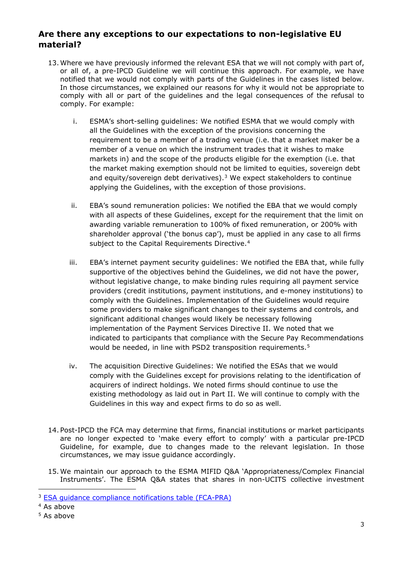## **Are there any exceptions to our expectations to non-legislative EU material?**

- 13.Where we have previously informed the relevant ESA that we will not comply with part of, or all of, a pre-IPCD Guideline we will continue this approach. For example, we have notified that we would not comply with parts of the Guidelines in the cases listed below. In those circumstances, we explained our reasons for why it would not be appropriate to comply with all or part of the guidelines and the legal consequences of the refusal to comply. For example:
	- i. ESMA's short-selling guidelines: We notified ESMA that we would comply with all the Guidelines with the exception of the provisions concerning the requirement to be a member of a trading venue (i.e. that a market maker be a member of a venue on which the instrument trades that it wishes to make markets in) and the scope of the products eligible for the exemption (i.e. that the market making exemption should not be limited to equities, sovereign debt and equity/sovereign debt derivatives).<sup>[3](#page-2-0)</sup> We expect stakeholders to continue applying the Guidelines, with the exception of those provisions.
	- ii. EBA's sound remuneration policies: We notified the EBA that we would comply with all aspects of these Guidelines, except for the requirement that the limit on awarding variable remuneration to 100% of fixed remuneration, or 200% with shareholder approval ('the bonus cap'), must be applied in any case to all firms subject to the Capital Requirements Directive.<sup>[4](#page-2-1)</sup>
	- iii. EBA's internet payment security guidelines: We notified the EBA that, while fully supportive of the objectives behind the Guidelines, we did not have the power, without legislative change, to make binding rules requiring all payment service providers (credit institutions, payment institutions, and e-money institutions) to comply with the Guidelines. Implementation of the Guidelines would require some providers to make significant changes to their systems and controls, and significant additional changes would likely be necessary following implementation of the Payment Services Directive II. We noted that we indicated to participants that compliance with the Secure Pay Recommendations would be needed, in line with PSD2 transposition requirements.<sup>[5](#page-2-2)</sup>
	- iv. The acquisition Directive Guidelines: We notified the ESAs that we would comply with the Guidelines except for provisions relating to the identification of acquirers of indirect holdings. We noted firms should continue to use the existing methodology as laid out in Part II. We will continue to comply with the Guidelines in this way and expect firms to do so as well.
- 14. Post-IPCD the FCA may determine that firms, financial institutions or market participants are no longer expected to 'make every effort to comply' with a particular pre-IPCD Guideline, for example, due to changes made to the relevant legislation. In those circumstances, we may issue guidance accordingly.
- 15.We maintain our approach to the ESMA MIFID Q&A 'Appropriateness/Complex Financial Instruments'. The ESMA Q&A states that shares in non-UCITS collective investment

-

<span id="page-2-0"></span><sup>3</sup> ESA guidance [compliance notifications table](https://www.handbook.fca.org.uk/Assets/fca/files/ESA%20guidance%20compliance%20notifications%20table%20-%20FCA-PRA.xlsx) (FCA-PRA)

<span id="page-2-1"></span><sup>4</sup> As above

<span id="page-2-2"></span><sup>5</sup> As above